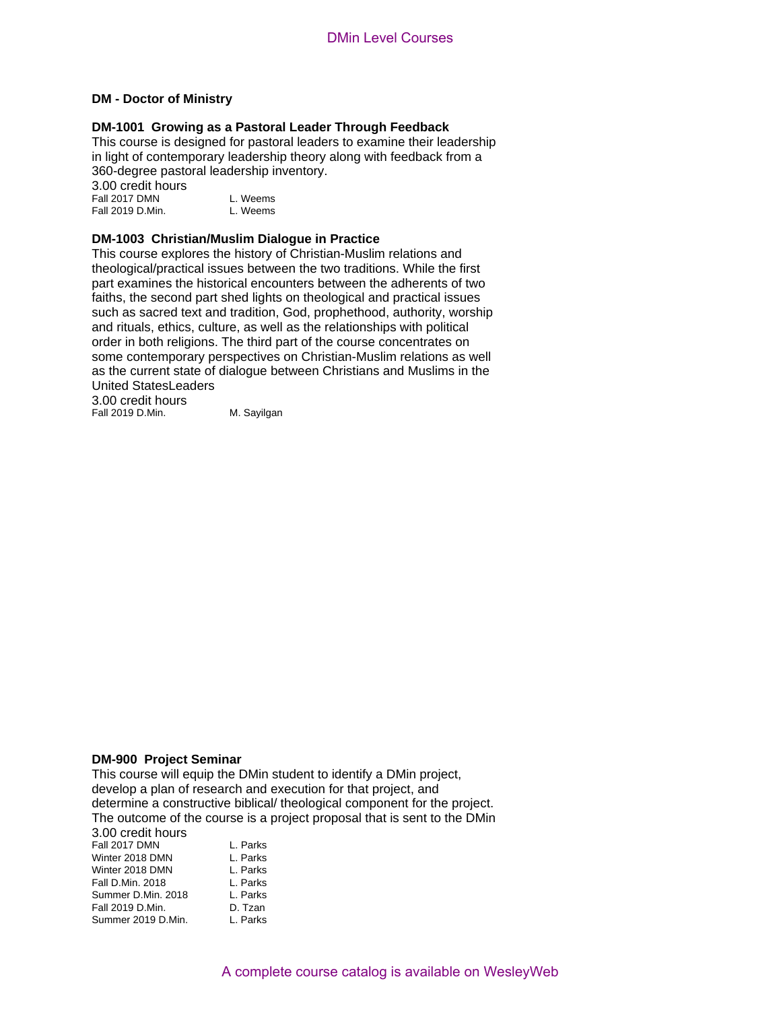# **DM - Doctor of Ministry**

### **DM-1001 Growing as a Pastoral Leader Through Feedback**

This course is designed for pastoral leaders to examine their leadership in light of contemporary leadership theory along with feedback from a 360-degree pastoral leadership inventory.

3.00 credit hours Fall 2017 DMN<br>Fall 2019 D.Min. L. Weems Fall 2019 D.Min.

# **DM-1003 Christian/Muslim Dialogue in Practice**

This course explores the history of Christian-Muslim relations and theological/practical issues between the two traditions. While the first part examines the historical encounters between the adherents of two faiths, the second part shed lights on theological and practical issues such as sacred text and tradition, God, prophethood, authority, worship and rituals, ethics, culture, as well as the relationships with political order in both religions. The third part of the course concentrates on some contemporary perspectives on Christian-Muslim relations as well as the current state of dialogue between Christians and Muslims in the United StatesLeaders

3.00 credit hours Fall 2019 D.Min. M. Sayilgan

### **DM-900 Project Seminar**

Summer 2019 D.Min. L. Parks

Fall 2019 D. Min.

This course will equip the DMin student to identify a DMin project, develop a plan of research and execution for that project, and determine a constructive biblical/ theological component for the project. The outcome of the course is a project proposal that is sent to the DMin 3.00 credit hours Fall 2017 DMN L. Parks Winter 2018 DMN L. Parks<br>Winter 2018 DMN L. Parks Winter 2018 DMN L. Parks<br>
Fall D.Min. 2018 L. Parks<br>
Summer D.Min. 2018 L. Parks<br>
Fall 2019 D.Min. D. Tzan Fall D.Min. 2018 Summer D.Min. 2018

A complete course catalog is available on WesleyWeb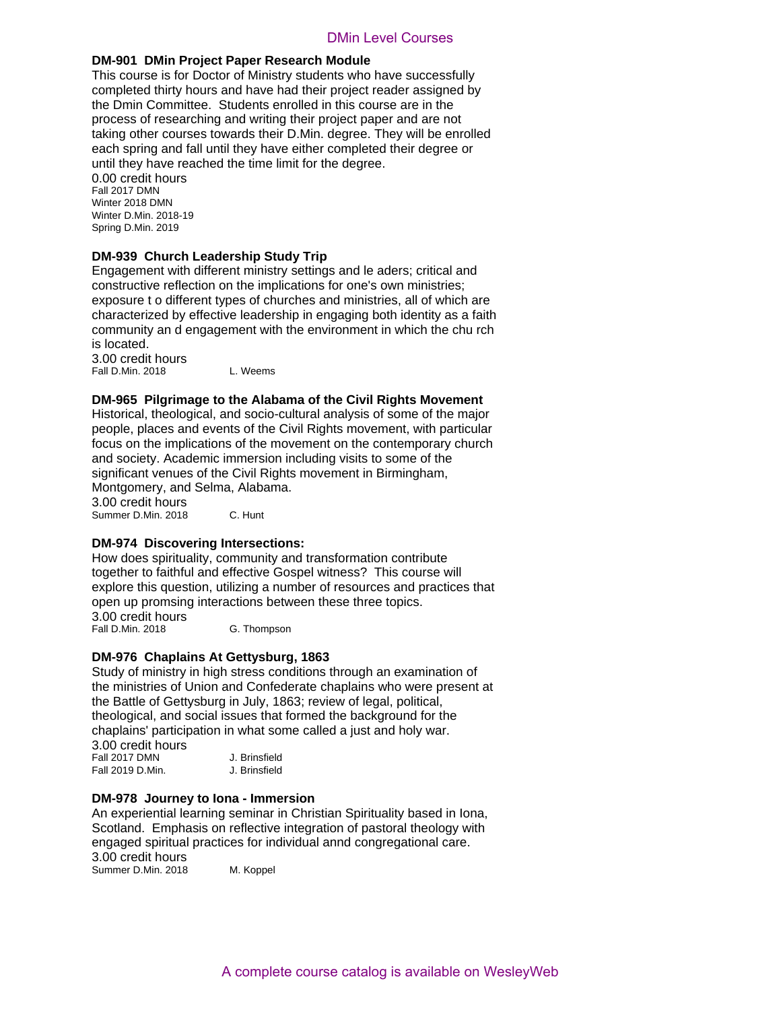# **DM-901 DMin Project Paper Research Module**

This course is for Doctor of Ministry students who have successfully completed thirty hours and have had their project reader assigned by the Dmin Committee. Students enrolled in this course are in the process of researching and writing their project paper and are not taking other courses towards their D.Min. degree. They will be enrolled each spring and fall until they have either completed their degree or until they have reached the time limit for the degree. DMin Level Courses<br>
2010 Min Level Courses<br>
A complete control and the course and Min Level<br>
and Mine and Minity students who have successfully<br>
Students enrolled in this course are in the<br>
and writing their project reader

0.00 credit hours Fall 2017 DMN Winter 2018 DMN Winter D.Min. 2018-19 Spring D.Min. 2019

# **DM-939 Church Leadership Study Trip**

Engagement with different ministry settings and le aders; critical and constructive reflection on the implications for one's own ministries; exposure t o different types of churches and ministries, all of which are characterized by effective leadership in engaging both identity as a faith community an d engagement with the environment in which the chu rch is located.

3.00 credit hours Fall D.Min. 2018 L. Weems

**DM-965 Pilgrimage to the Alabama of the Civil Rights Movement**

Historical, theological, and socio-cultural analysis of some of the major people, places and events of the Civil Rights movement, with particular focus on the implications of the movement on the contemporary church and society. Academic immersion including visits to some of the significant venues of the Civil Rights movement in Birmingham, Montgomery, and Selma, Alabama. 3.00 credit hours

Summer D.Min. 2018 C. Hunt

# **DM-974 Discovering Intersections:**

How does spirituality, community and transformation contribute together to faithful and effective Gospel witness? This course will explore this question, utilizing a number of resources and practices that open up promsing interactions between these three topics. 3.00 credit hours

Fall D.Min. 2018 G. Thompson

### **DM-976 Chaplains At Gettysburg, 1863**

Study of ministry in high stress conditions through an examination of the ministries of Union and Confederate chaplains who were present at the Battle of Gettysburg in July, 1863; review of legal, political, theological, and social issues that formed the background for the chaplains' participation in what some called a just and holy war. 3.00 credit hours

| Fall 2017 DMN    | J. Brinsfield |
|------------------|---------------|
| Fall 2019 D.Min. | J. Brinsfield |

# **DM-978 Journey to Iona - Immersion**

An experiential learning seminar in Christian Spirituality based in Iona, Scotland. Emphasis on reflective integration of pastoral theology with engaged spiritual practices for individual annd congregational care. 3.00 credit hours Summer D.Min. 2018 M. Koppel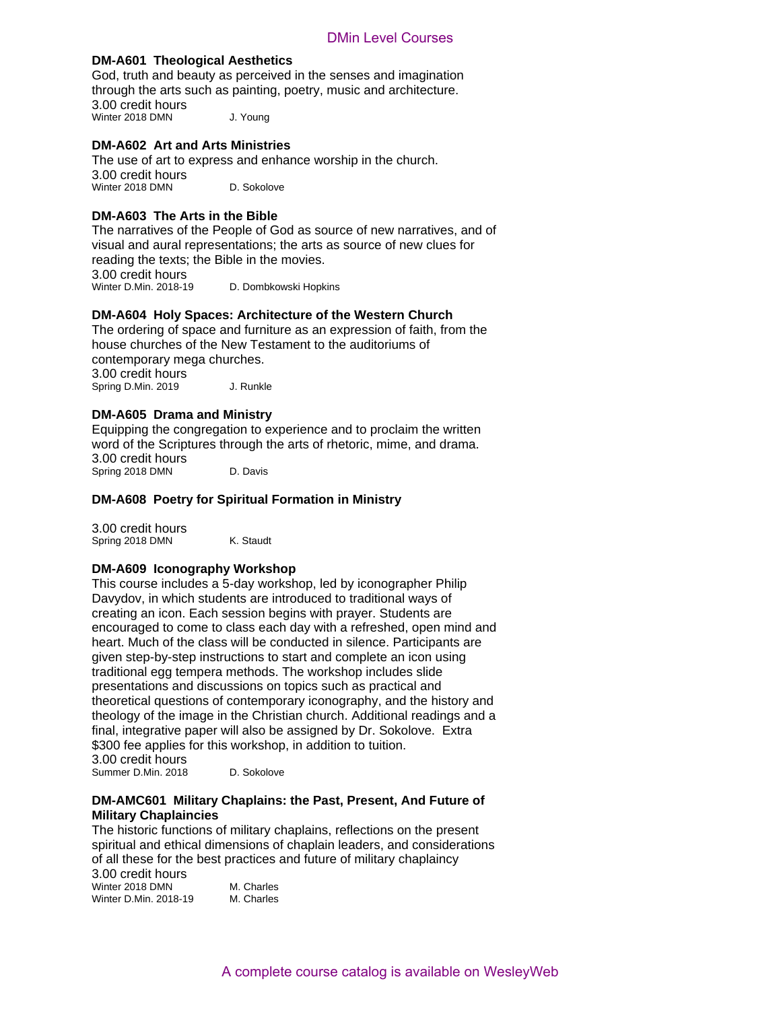# **DM-A601 Theological Aesthetics**

God, truth and beauty as perceived in the senses and imagination through the arts such as painting, poetry, music and architecture. 3.00 credit hours Winter 2018 DMN J. Young

# **DM-A602 Art and Arts Ministries**

The use of art to express and enhance worship in the church. 3.00 credit hours Winter 2018 DMN D. Sokolove

# **DM-A603 The Arts in the Bible**

The narratives of the People of God as source of new narratives, and of visual and aural representations; the arts as source of new clues for reading the texts; the Bible in the movies. 3.00 credit hours<br>Winter D.Min. 2018-19

D. Dombkowski Hopkins

# **DM-A604 Holy Spaces: Architecture of the Western Church**

The ordering of space and furniture as an expression of faith, from the house churches of the New Testament to the auditoriums of contemporary mega churches. 3.00 credit hours Spring D.Min. 2019 J. Runkle

# **DM-A605 Drama and Ministry**

Equipping the congregation to experience and to proclaim the written word of the Scriptures through the arts of rhetoric, mime, and drama. 3.00 credit hours Spring 2018 DMN D. Davis

# **DM-A608 Poetry for Spiritual Formation in Ministry**

3.00 credit hours Spring 2018 DMN K. Staudt

### **DM-A609 Iconography Workshop**

This course includes a 5-day workshop, led by iconographer Philip Davydov, in which students are introduced to traditional ways of creating an icon. Each session begins with prayer. Students are encouraged to come to class each day with a refreshed, open mind and heart. Much of the class will be conducted in silence. Participants are given step-by-step instructions to start and complete an icon using traditional egg tempera methods. The workshop includes slide presentations and discussions on topics such as practical and theoretical questions of contemporary iconography, and the history and theology of the image in the Christian church. Additional readings and a final, integrative paper will also be assigned by Dr. Sokolove. Extra \$300 fee applies for this workshop, in addition to tuition. 3.00 credit hours DMin Level Courses<br> **A Aesthetics**<br>
as perceived in the senses and imagination<br>
specifity, poetry, music and architecture.<br>
J. Young<br>
S. Ministries<br>
S. Sand enhance worship in the church.<br>
D. Soletower<br>
explicions, the art

Summer D.Min. 2018 D. Sokolove

# **DM-AMC601 Military Chaplains: the Past, Present, And Future of Military Chaplaincies**

The historic functions of military chaplains, reflections on the present spiritual and ethical dimensions of chaplain leaders, and considerations of all these for the best practices and future of military chaplaincy

3.00 credit hours Winter 2018 DMN M. Charles Winter D.Min. 2018-19 M. Charles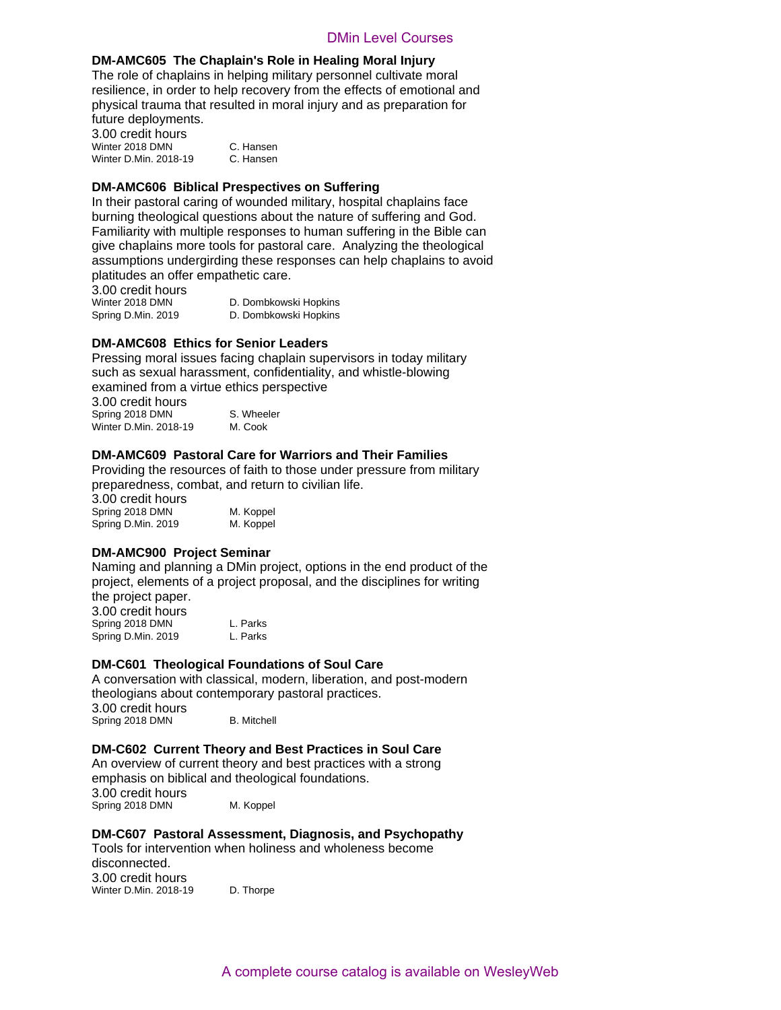# **DM-AMC605 The Chaplain's Role in Healing Moral Injury**

The role of chaplains in helping military personnel cultivate moral resilience, in order to help recovery from the effects of emotional and physical trauma that resulted in moral injury and as preparation for future deployments.

3.00 credit hours Winter 2018 DMN C. Hansen Winter D.Min. 2018-19 C. Hansen

# **DM-AMC606 Biblical Prespectives on Suffering**

In their pastoral caring of wounded military, hospital chaplains face burning theological questions about the nature of suffering and God. Familiarity with multiple responses to human suffering in the Bible can give chaplains more tools for pastoral care. Analyzing the theological assumptions undergirding these responses can help chaplains to avoid platitudes an offer empathetic care. Delin's Role in Healing Moral Courses<br>
Delinity Role in Healing Moral Chiurge<br>
The provey from the effects of emotional control<br>
celp recovery from the effects of emotional and<br>
C. Hansen<br>
C. Hansen<br>
C. Hansen<br>
Moral Cours

3.00 credit hours

D. Dombkowski Hopkins Spring D.Min. 2019 D. Dombkowski Hopkins

# **DM-AMC608 Ethics for Senior Leaders**

Pressing moral issues facing chaplain supervisors in today military such as sexual harassment, confidentiality, and whistle-blowing examined from a virtue ethics perspective

3.00 credit hours Spring 2018 DMN S. Wheeler Winter D.Min. 2018-19 M. Cook

# **DM-AMC609 Pastoral Care for Warriors and Their Families**

Providing the resources of faith to those under pressure from military preparedness, combat, and return to civilian life.

3.00 credit hours Spring 2018 DMN M. Koppel Spring D.Min. 2019 M. Koppel

# **DM-AMC900 Project Seminar**

Naming and planning a DMin project, options in the end product of the project, elements of a project proposal, and the disciplines for writing the project paper.

3.00 credit hours Spring 2018 DMN L. Parks Spring D.Min. 2019 L. Parks

# **DM-C601 Theological Foundations of Soul Care**

A conversation with classical, modern, liberation, and post-modern theologians about contemporary pastoral practices. 3.00 credit hours Spring 2018 DMN B. Mitchell

# **DM-C602 Current Theory and Best Practices in Soul Care**

An overview of current theory and best practices with a strong emphasis on biblical and theological foundations. 3.00 credit hours Spring 2018 DMN M. Koppel

# **DM-C607 Pastoral Assessment, Diagnosis, and Psychopathy**

Tools for intervention when holiness and wholeness become disconnected. 3.00 credit hours Winter D.Min. 2018-19 D. Thorpe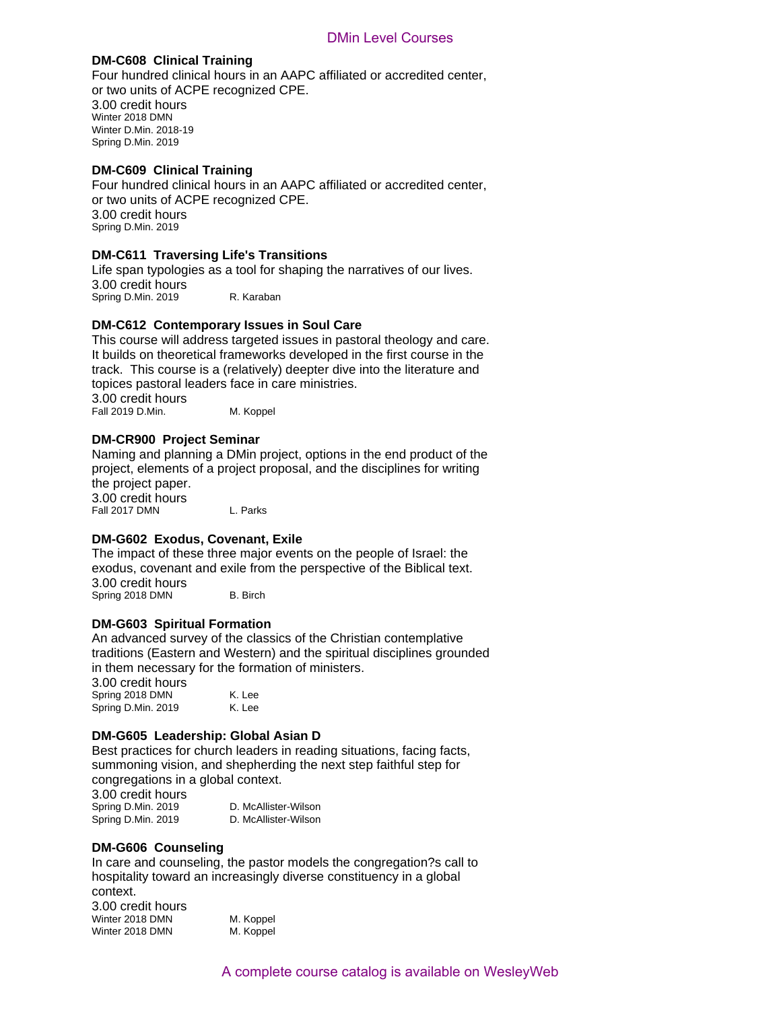# **DM-C608 Clinical Training**

Four hundred clinical hours in an AAPC affiliated or accredited center, or two units of ACPE recognized CPE. 3.00 credit hours Winter 2018 DMN Winter D.Min. 2018-19 Spring D.Min. 2019 DMin Level Courses<br>
DMin Level Courses<br>
DMIn and AAPC affiliated or accredited center,<br>
cocynized CPE.<br>
Life's Transitions<br>
a too for shaping the narratives of our lives.<br>
R. Kantaan<br>
and Interstand and Mapping the narrati

# **DM-C609 Clinical Training**

Four hundred clinical hours in an AAPC affiliated or accredited center, or two units of ACPE recognized CPE. 3.00 credit hours Spring D.Min. 2019

# **DM-C611 Traversing Life's Transitions**

Life span typologies as a tool for shaping the narratives of our lives. 3.00 credit hours Spring D.Min. 2019 R. Karaban

# **DM-C612 Contemporary Issues in Soul Care**

This course will address targeted issues in pastoral theology and care. It builds on theoretical frameworks developed in the first course in the track. This course is a (relatively) deepter dive into the literature and topices pastoral leaders face in care ministries. 3.00 credit hours

Fall 2019 D.Min. M. Koppel

# **DM-CR900 Project Seminar**

Naming and planning a DMin project, options in the end product of the project, elements of a project proposal, and the disciplines for writing the project paper. 3.00 credit hours Fall 2017 DMN L. Parks

# **DM-G602 Exodus, Covenant, Exile**

The impact of these three major events on the people of Israel: the exodus, covenant and exile from the perspective of the Biblical text. 3.00 credit hours Spring 2018 DMN B. Birch

# **DM-G603 Spiritual Formation**

An advanced survey of the classics of the Christian contemplative traditions (Eastern and Western) and the spiritual disciplines grounded in them necessary for the formation of ministers.

3.00 credit hours Spring 2018 DMN K. Lee<br>Spring D.Min. 2019 K. Lee Spring D.Min. 2019

# **DM-G605 Leadership: Global Asian D**

Best practices for church leaders in reading situations, facing facts, summoning vision, and shepherding the next step faithful step for congregations in a global context. 3.00 credit hours

Spring D.Min. 2019 D. McAllister-Wilson<br>
Spring D.Min. 2019 D. McAllister-Wilson Spring D.Min. 2019

# **DM-G606 Counseling**

Winter 2018 DMN

In care and counseling, the pastor models the congregation?s call to hospitality toward an increasingly diverse constituency in a global context. 3.00 credit hours Winter 2018 DMN M. Koppel<br>Winter 2018 DMN M. Koppel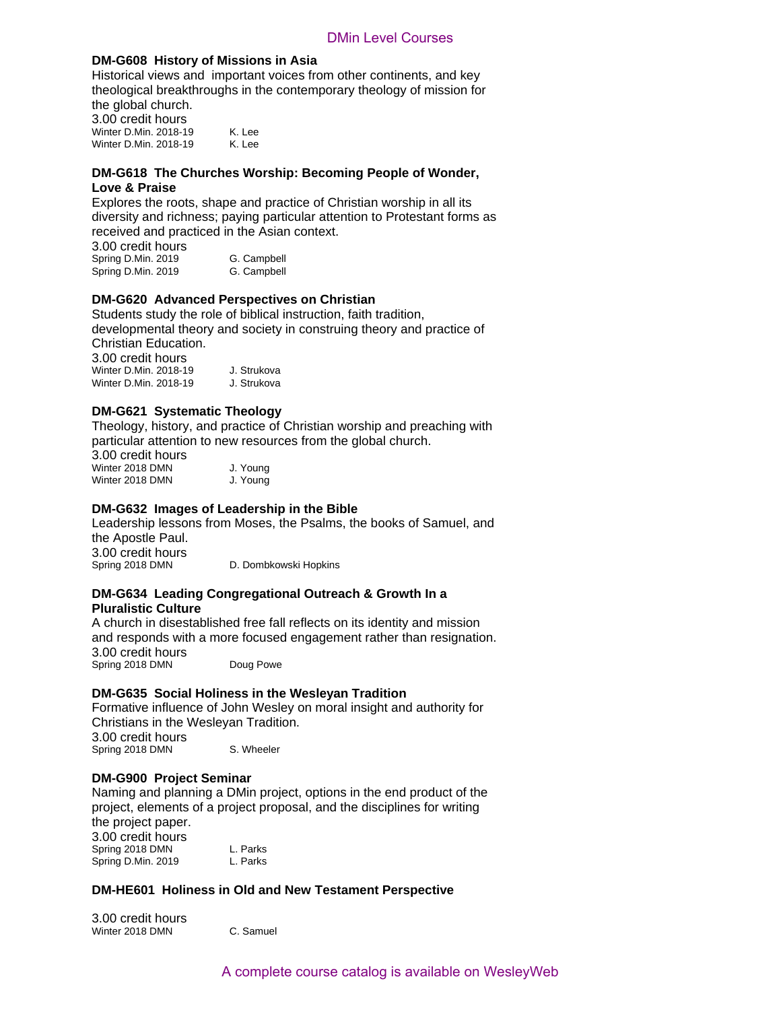# **DM-G608 History of Missions in Asia**

Historical views and important voices from other continents, and key theological breakthroughs in the contemporary theology of mission for the global church. 3.00 credit hours

Winter D.Min. 2018-19 K. Lee Winter D.Min. 2018-19 K. Lee

# **DM-G618 The Churches Worship: Becoming People of Wonder, Love & Praise**

Explores the roots, shape and practice of Christian worship in all its diversity and richness; paying particular attention to Protestant forms as received and practiced in the Asian context.

3.00 credit hours Spring D.Min. 2019 G. Campbell Spring D.Min. 2019 G. Campbell

# **DM-G620 Advanced Perspectives on Christian**

Students study the role of biblical instruction, faith tradition, developmental theory and society in construing theory and practice of Christian Education.

 $2.00$  credit h

| 3.00 credit nours     |             |
|-----------------------|-------------|
| Winter D.Min. 2018-19 | J. Strukova |
| Winter D.Min. 2018-19 | J. Strukova |

# **DM-G621 Systematic Theology**

Theology, history, and practice of Christian worship and preaching with particular attention to new resources from the global church.

3.00 credit hours Winter 2018 DMN J. Young Winter 2018 DMN J. Young

# **DM-G632 Images of Leadership in the Bible**

Leadership lessons from Moses, the Psalms, the books of Samuel, and the Apostle Paul. 3.00 credit hours<br>Spring 2018 DMN

D. Dombkowski Hopkins

# **DM-G634 Leading Congregational Outreach & Growth In a Pluralistic Culture**

A church in disestablished free fall reflects on its identity and mission and responds with a more focused engagement rather than resignation. 3.00 credit hours Spring 2018 DMN Doug Powe

# **DM-G635 Social Holiness in the Wesleyan Tradition**

Formative influence of John Wesley on moral insight and authority for Christians in the Wesleyan Tradition.

3.00 credit hours Spring 2018 DMN S. Wheeler

### **DM-G900 Project Seminar**

Naming and planning a DMin project, options in the end product of the project, elements of a project proposal, and the disciplines for writing the project paper. 3.00 credit hours Spring 2018 DMN L. Parks Spring D.Min. 2019 L. Parks **Min** Level Courses<br> **Missions in Asia**<br> **Missions in Asia**<br> **Robert Course from other continents, and key**<br> **K. Lee**<br> **R. Keyster Context Context Context**<br> **K. Lee**<br> **Example of Octoming People of Wonder,**<br> **K. Lee**<br> **Ex** 

# **DM-HE601 Holiness in Old and New Testament Perspective**

3.00 credit hours Winter 2018 DMN C. Samuel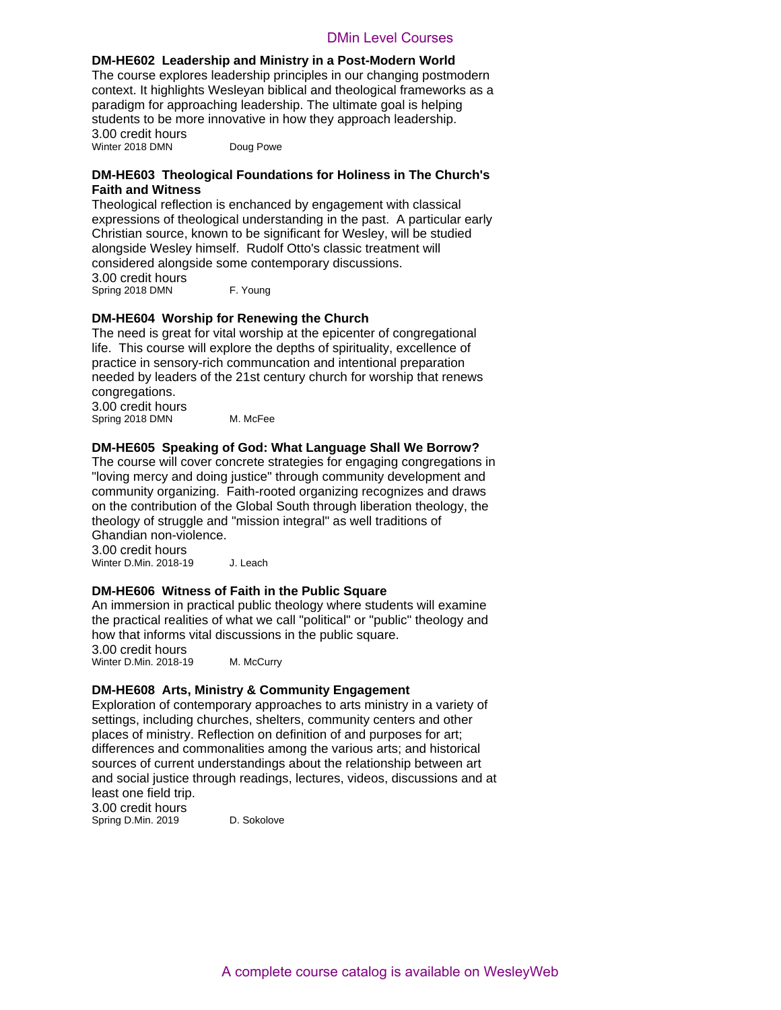### **DM-HE602 Leadership and Ministry in a Post-Modern World**

The course explores leadership principles in our changing postmodern context. It highlights Wesleyan biblical and theological frameworks as a paradigm for approaching leadership. The ultimate goal is helping students to be more innovative in how they approach leadership. 3.00 credit hours Winter 2018 DMN Doug Powe

# **DM-HE603 Theological Foundations for Holiness in The Church's Faith and Witness**

Theological reflection is enchanced by engagement with classical expressions of theological understanding in the past. A particular early Christian source, known to be significant for Wesley, will be studied alongside Wesley himself. Rudolf Otto's classic treatment will considered alongside some contemporary discussions. 3.00 credit hours Spring 2018 DMN F. Young

# **DM-HE604 Worship for Renewing the Church**

The need is great for vital worship at the epicenter of congregational life. This course will explore the depths of spirituality, excellence of practice in sensory-rich communcation and intentional preparation needed by leaders of the 21st century church for worship that renews congregations.

3.00 credit hours Spring 2018 DMN M. McFee

**DM-HE605 Speaking of God: What Language Shall We Borrow?** The course will cover concrete strategies for engaging congregations in "loving mercy and doing justice" through community development and community organizing. Faith-rooted organizing recognizes and draws on the contribution of the Global South through liberation theology, the theology of struggle and "mission integral" as well traditions of Ghandian non-violence.

3.00 credit hours

Winter D.Min. 2018-19 J. Leach

# **DM-HE606 Witness of Faith in the Public Square**

An immersion in practical public theology where students will examine the practical realities of what we call "political" or "public" theology and how that informs vital discussions in the public square.

3.00 credit hours Winter D.Min. 2018-19 M. McCurry

# **DM-HE608 Arts, Ministry & Community Engagement**

Exploration of contemporary approaches to arts ministry in a variety of settings, including churches, shelters, community centers and other places of ministry. Reflection on definition of and purposes for art; differences and commonalities among the various arts; and historical sources of current understandings about the relationship between art and social justice through readings, lectures, videos, discussions and at least one field trip. 3.00 credit hours D and Minitery Dimitervel Courses A course Courses<br>
paral Ministry in a Potat-Modern World<br>
adversible principles is our changing positron<br>
design and the distribution of the church's assets as a complement of<br>
Doug Power<br>

Spring D.Min. 2019 D. Sokolove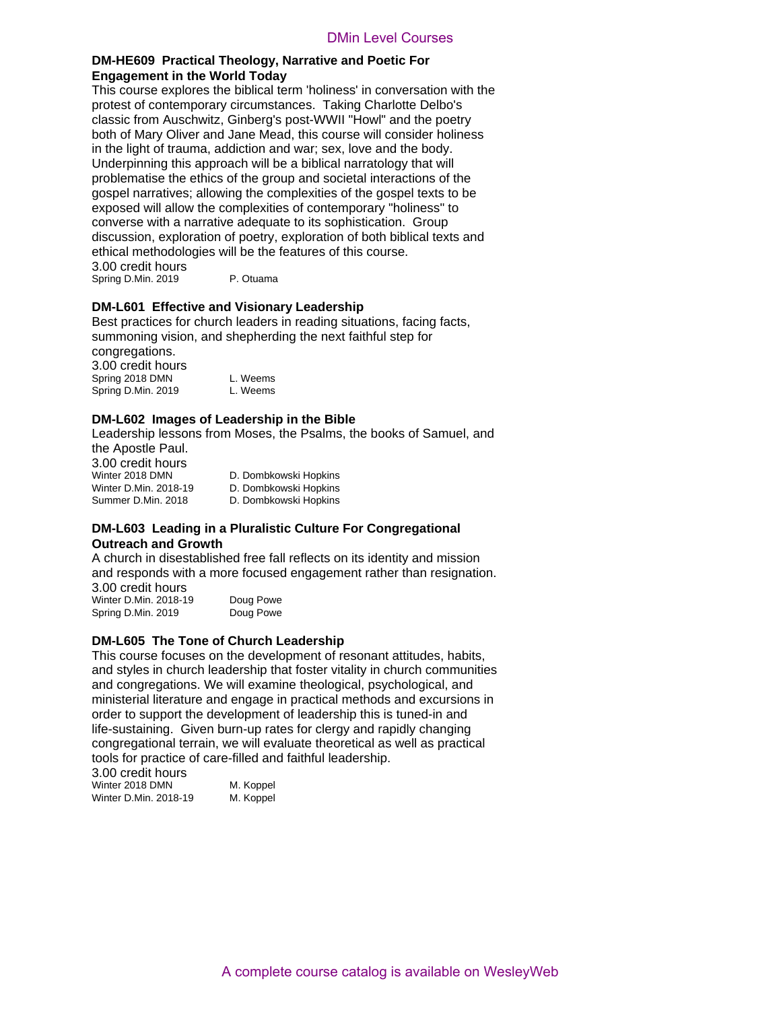# **DM-HE609 Practical Theology, Narrative and Poetic For Engagement in the World Today**

This course explores the biblical term 'holiness' in conversation with the protest of contemporary circumstances. Taking Charlotte Delbo's classic from Auschwitz, Ginberg's post-WWII "Howl" and the poetry both of Mary Oliver and Jane Mead, this course will consider holiness in the light of trauma, addiction and war; sex, love and the body. Underpinning this approach will be a biblical narratology that will problematise the ethics of the group and societal interactions of the gospel narratives; allowing the complexities of the gospel texts to be exposed will allow the complexities of contemporary "holiness" to converse with a narrative adequate to its sophistication. Group discussion, exploration of poetry, exploration of both biblical texts and ethical methodologies will be the features of this course. 3.00 credit hours Dinnelevel Courses<br>
Dinnelevel Course<br>
Dinnelevel Courses<br>
Discrementances Trainsign Consters For the biblical term Troiliness' in conversation with the<br>
given the product behavior of the conversation consider holiness<br>
Gi

Spring D.Min. 2019 P. Otuama

# **DM-L601 Effective and Visionary Leadership**

Best practices for church leaders in reading situations, facing facts, summoning vision, and shepherding the next faithful step for congregations.

3.00 credit hours Spring 2018 DMN L. Weems Spring D.Min. 2019 L. Weems

# **DM-L602 Images of Leadership in the Bible**

Leadership lessons from Moses, the Psalms, the books of Samuel, and the Apostle Paul.

3.00 credit hours<br>Winter 2018 DMN D. Dombkowski Hopkins Winter D.Min. 2018-19 D. Dombkowski Hopkins Summer D.Min. 2018 D. Dombkowski Hopkins

# **DM-L603 Leading in a Pluralistic Culture For Congregational Outreach and Growth**

A church in disestablished free fall reflects on its identity and mission and responds with a more focused engagement rather than resignation. 3.00 credit hours

Winter D.Min. 2018-19 Doug Powe Spring D.Min. 2019 Doug Powe

# **DM-L605 The Tone of Church Leadership**

This course focuses on the development of resonant attitudes, habits, and styles in church leadership that foster vitality in church communities and congregations. We will examine theological, psychological, and ministerial literature and engage in practical methods and excursions in order to support the development of leadership this is tuned-in and life-sustaining. Given burn-up rates for clergy and rapidly changing congregational terrain, we will evaluate theoretical as well as practical tools for practice of care-filled and faithful leadership.

3.00 credit hours Winter 2018 DMN M. Koppel Winter D.Min. 2018-19 M. Koppel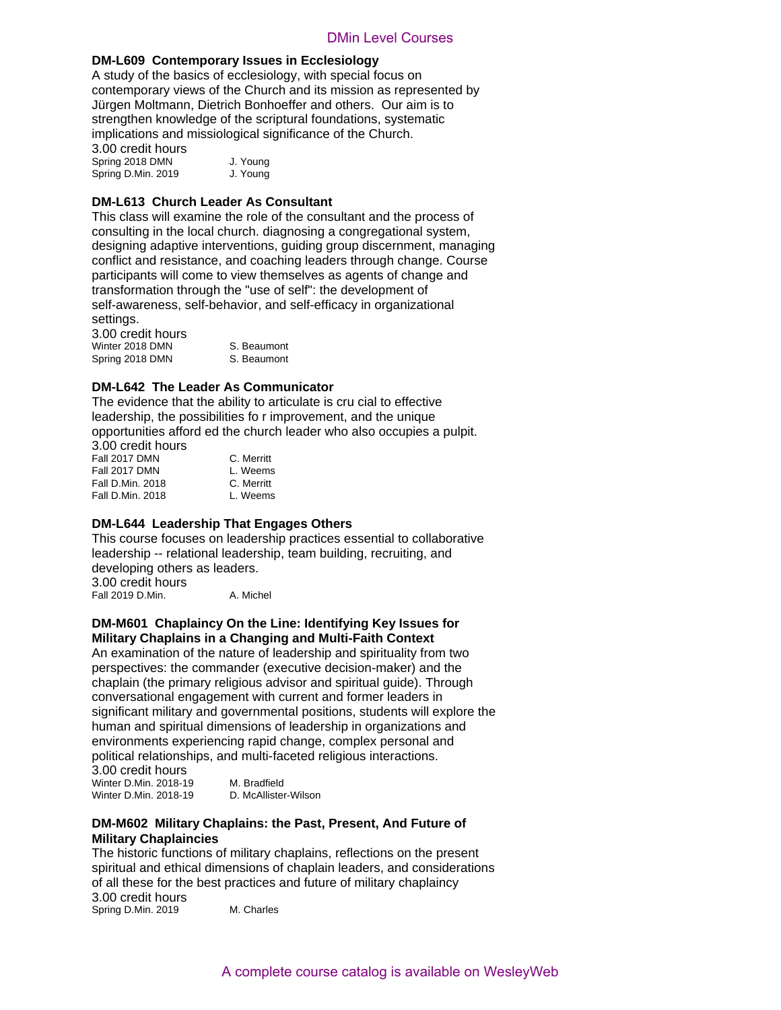# **DM-L609 Contemporary Issues in Ecclesiology**

A study of the basics of ecclesiology, with special focus on contemporary views of the Church and its mission as represented by Jürgen Moltmann, Dietrich Bonhoeffer and others. Our aim is to strengthen knowledge of the scriptural foundations, systematic implications and missiological significance of the Church.

3.00 credit hours Spring 2018 DMN J. Young Spring D.Min. 2019 J. Young

# **DM-L613 Church Leader As Consultant**

This class will examine the role of the consultant and the process of consulting in the local church. diagnosing a congregational system, designing adaptive interventions, guiding group discernment, managing conflict and resistance, and coaching leaders through change. Course participants will come to view themselves as agents of change and transformation through the "use of self": the development of self-awareness, self-behavior, and self-efficacy in organizational settings.

3.00 credit hours Winter 2018 DMN S. Beaumont Spring 2018 DMN S. Beaumont

# **DM-L642 The Leader As Communicator**

The evidence that the ability to articulate is cru cial to effective leadership, the possibilities fo r improvement, and the unique opportunities afford ed the church leader who also occupies a pulpit.

| C. Merritt |
|------------|
| L. Weems   |
| C. Merritt |
| L. Weems   |
|            |

# **DM-L644 Leadership That Engages Others**

This course focuses on leadership practices essential to collaborative leadership -- relational leadership, team building, recruiting, and developing others as leaders. 3.00 credit hours Fall 2019 D.Min. A. Michel

# **DM-M601 Chaplaincy On the Line: Identifying Key Issues for Military Chaplains in a Changing and Multi-Faith Context**

An examination of the nature of leadership and spirituality from two perspectives: the commander (executive decision-maker) and the chaplain (the primary religious advisor and spiritual guide). Through conversational engagement with current and former leaders in significant military and governmental positions, students will explore the human and spiritual dimensions of leadership in organizations and environments experiencing rapid change, complex personal and political relationships, and multi-faceted religious interactions. 3.00 credit hours py Issues in Ecclesiotics<br>
in Colorship Courses<br>
the Church and its mechanic flocus on<br>
the Church and its mission as represented by<br>
rich Bothbefler and others. Our aim is to<br>
of the scriptural doundations, systematic<br>
of

| o.vu vivuit nuuro     |                      |
|-----------------------|----------------------|
| Winter D.Min. 2018-19 | M. Bradfield         |
| Winter D.Min. 2018-19 | D. McAllister-Wilson |

# **DM-M602 Military Chaplains: the Past, Present, And Future of Military Chaplaincies**

The historic functions of military chaplains, reflections on the present spiritual and ethical dimensions of chaplain leaders, and considerations of all these for the best practices and future of military chaplaincy 3.00 credit hours Spring D.Min. 2019 M. Charles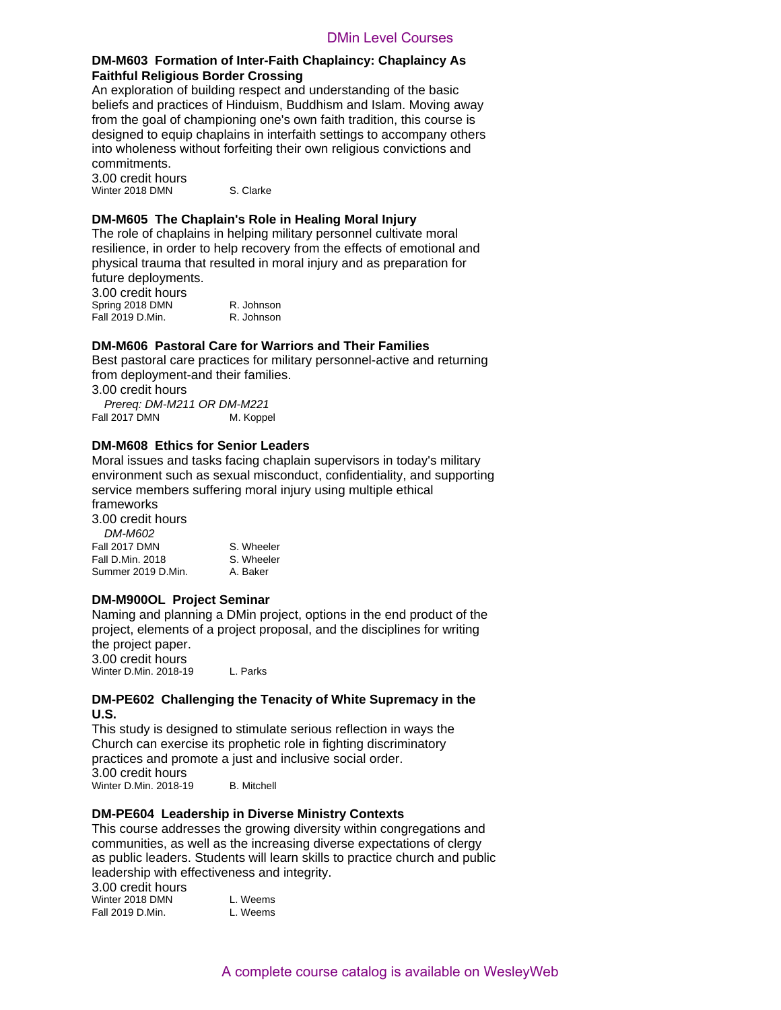# **DM-M603 Formation of Inter-Faith Chaplaincy: Chaplaincy As Faithful Religious Border Crossing**

An exploration of building respect and understanding of the basic beliefs and practices of Hinduism, Buddhism and Islam. Moving away from the goal of championing one's own faith tradition, this course is designed to equip chaplains in interfaith settings to accompany others into wholeness without forfeiting their own religious convictions and commitments. DMin Level Courses<br>
Color ther-Faith Chaplaincy: Chaplaincy As<br>
one respect and understanding of the basic<br>
one respect and understanding of the basic<br>
brinduals, Buddhian and Islam. Moving away<br>
ioning one's own failth tr

3.00 credit hours Winter 2018 DMN S. Clarke

# **DM-M605 The Chaplain's Role in Healing Moral Injury**

The role of chaplains in helping military personnel cultivate moral resilience, in order to help recovery from the effects of emotional and physical trauma that resulted in moral injury and as preparation for future deployments. 3.00 credit hours

Spring 2018 DMN R. Johnson Fall 2019 D.Min. R. Johnson

# **DM-M606 Pastoral Care for Warriors and Their Families**

Best pastoral care practices for military personnel-active and returning from deployment-and their families. 3.00 credit hours *Prereq: DM-M211 OR DM-M221*

Fall 2017 DMN M. Koppel

# **DM-M608 Ethics for Senior Leaders**

Moral issues and tasks facing chaplain supervisors in today's military environment such as sexual misconduct, confidentiality, and supporting service members suffering moral injury using multiple ethical frameworks

3.00 credit hours *DM-M602* Fall 2017 DMN S. Wheeler

Summer 2019 D.Min.

Fall D.Min. 2018 S. Wheeler<br>Summer 2019 D.Min. A. Baker

# **DM-M900OL Project Seminar**

Naming and planning a DMin project, options in the end product of the project, elements of a project proposal, and the disciplines for writing the project paper. 3.00 credit hours Winter D.Min. 2018-19 L. Parks

**DM-PE602 Challenging the Tenacity of White Supremacy in the** 

# **U.S.**

This study is designed to stimulate serious reflection in ways the Church can exercise its prophetic role in fighting discriminatory practices and promote a just and inclusive social order. 3.00 credit hours Winter D.Min. 2018-19 B. Mitchell

# **DM-PE604 Leadership in Diverse Ministry Contexts**

This course addresses the growing diversity within congregations and communities, as well as the increasing diverse expectations of clergy as public leaders. Students will learn skills to practice church and public leadership with effectiveness and integrity.

| 3.00 credit hours |          |
|-------------------|----------|
| Winter 2018 DMN   | L. Weems |
| Fall 2019 D.Min.  | L. Weems |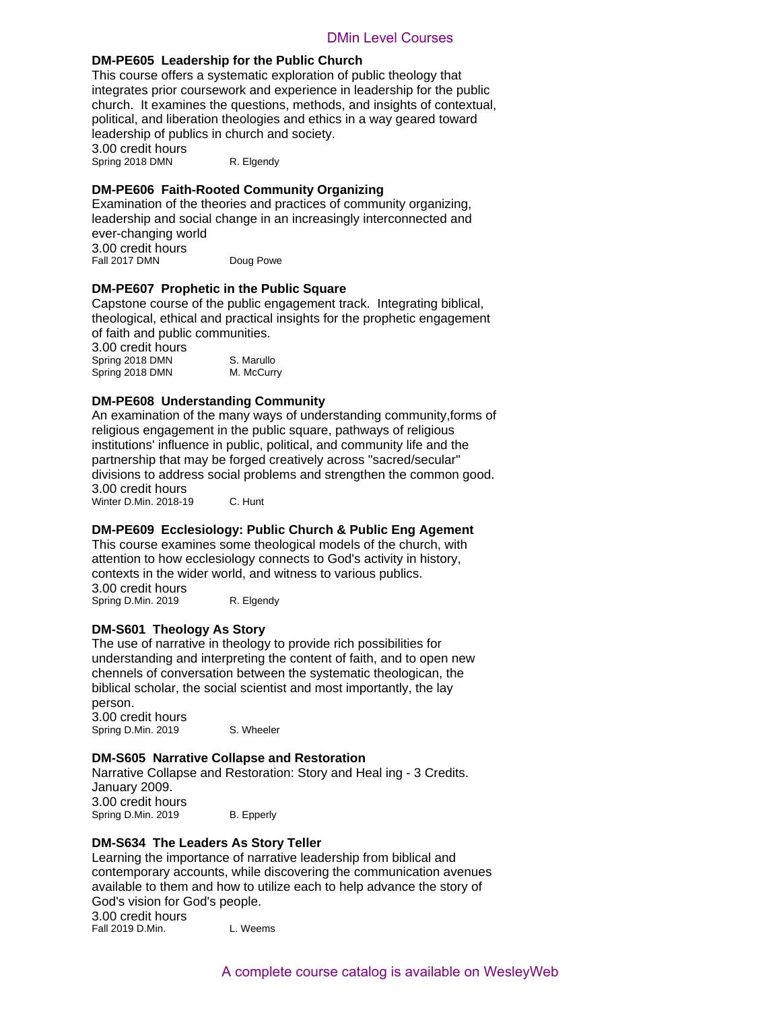# **DM-PE605 Leadership for the Public Church**

This course offers a systematic exploration of public theology that integrates prior coursework and experience in leadership for the public church. It examines the questions, methods, and insights of contextual, political, and liberation theologies and ethics in a way geared toward leadership of publics in church and society. 3.00 credit hours

Spring 2018 DMN R. Elgendy

# **DM-PE606 Faith-Rooted Community Organizing**

Examination of the theories and practices of community organizing, leadership and social change in an increasingly interconnected and ever-changing world 3.00 credit hours Fall 2017 DMN Doug Powe

**DM-PE607 Prophetic in the Public Square**

Capstone course of the public engagement track. Integrating biblical, theological, ethical and practical insights for the prophetic engagement of faith and public communities. 3.00 credit hours

Spring 2018 DMN S. Marullo Spring 2018 DMN M. McCurry

# **DM-PE608 Understanding Community**

An examination of the many ways of understanding community,forms of religious engagement in the public square, pathways of religious institutions' influence in public, political, and community life and the partnership that may be forged creatively across "sacred/secular" divisions to address social problems and strengthen the common good. 3.00 credit hours Winter D.Min. 2018-19 C. Hunt DMin Level Courses<br>
DMin Level Courses<br>
stematic contoration of public cheology that<br>
and a specience in leadership for the public<br>
equestions, methods and insights of contextual,<br>
church and society.<br>
R. Etgensy<br>
church

# **DM-PE609 Ecclesiology: Public Church & Public Eng Agement**

This course examines some theological models of the church, with attention to how ecclesiology connects to God's activity in history, contexts in the wider world, and witness to various publics. 3.00 credit hours Spring D.Min. 2019 R. Elgendy

# **DM-S601 Theology As Story**

The use of narrative in theology to provide rich possibilities for understanding and interpreting the content of faith, and to open new chennels of conversation between the systematic theologican, the biblical scholar, the social scientist and most importantly, the lay person.

3.00 credit hours Spring D.Min. 2019 S. Wheeler

# **DM-S605 Narrative Collapse and Restoration**

Narrative Collapse and Restoration: Story and Heal ing - 3 Credits. January 2009. 3.00 credit hours Spring D.Min. 2019 B. Epperly

# **DM-S634 The Leaders As Story Teller**

Learning the importance of narrative leadership from biblical and contemporary accounts, while discovering the communication avenues available to them and how to utilize each to help advance the story of God's vision for God's people. 3.00 credit hours Fall 2019 D.Min. L. Weems